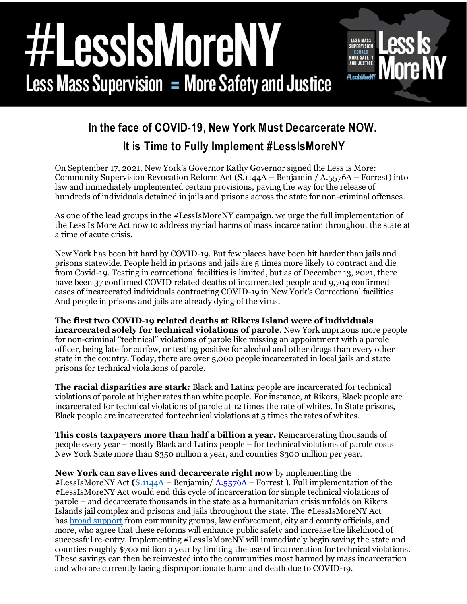## essismoren **LESS MASS** SUPERVISION **EQUALS MORE SAFETY AND JUSTICE Less Mass Supervision = More Safety and Justice** #LessIsMo



## **It is Time to Fully Implement #LessIsMoreNY**

On September 17, 2021, New York's Governor Kathy Governor signed the Less is More: Community Supervision Revocation Reform Act (S.1144A – Benjamin / A.5576A – Forrest) into law and immediately implemented certain provisions, paving the way for the release of hundreds of individuals detained in jails and prisons across the state for non-criminal offenses.

As one of the lead groups in the #LessIsMoreNY campaign, we urge the full implementation of the Less Is More Act now to address myriad harms of mass incarceration throughout the state at a time of acute crisis.

New York has been hit hard by COVID-19. But few places have been hit harder than jails and prisons statewide. People held in prisons and jails are 5 times more likely to contract and die from Covid-19. Testing in correctional facilities is limited, but as of December 13, 2021, there have been 37 confirmed COVID related deaths of incarcerated people and 9,704 confirmed cases of incarcerated individuals contracting COVID-19 in New York's Correctional facilities. And people in prisons and jails are already dying of the virus.

**The first two COVID-19 related deaths at Rikers Island were of individuals incarcerated solely for technical violations of parole**. New York imprisons more people for non-criminal "technical" violations of parole like missing an appointment with a parole officer, being late for curfew, or testing positive for alcohol and other drugs than every other state in the country. Today, there are over 5,000 people incarcerated in local jails and state prisons for technical violations of parole.

**The racial disparities are stark:** Black and Latinx people are incarcerated for technical violations of parole at higher rates than white people. For instance, at Rikers, Black people are incarcerated for technical violations of parole at 12 times the rate of whites. In State prisons, Black people are incarcerated for technical violations at 5 times the rates of whites.

**This costs taxpayers more than half a billion a year.** Reincarcerating thousands of people every year – mostly Black and Latinx people – for technical violations of parole costs New York State more than \$350 million a year, and counties \$300 million per year.

**New York can save lives and decarcerate right now** by implementing the #LessIsMoreNY Act **(**[S.1144A](https://www.nysenate.gov/legislation/bills/2021/S1144) – Benjamin/ [A.5576A](https://nyassembly.gov/leg/?bn=A05576&term=2021) – Forrest ). Full implementation of the #LessIsMoreNY Act would end this cycle of incarceration for simple technical violations of parole – and decarcerate thousands in the state as a humanitarian crisis unfolds on Rikers Islands jail complex and prisons and jails throughout the state. The #LessIsMoreNY Act has [broad support](https://www.lessismoreny.org/sign-on) from community groups, law enforcement, city and county officials, and more, who agree that these reforms will enhance public safety and increase the likelihood of successful re-entry. Implementing #LessIsMoreNY will immediately begin saving the state and counties roughly \$700 million a year by limiting the use of incarceration for technical violations. These savings can then be reinvested into the communities most harmed by mass incarceration and who are currently facing disproportionate harm and death due to COVID-19.